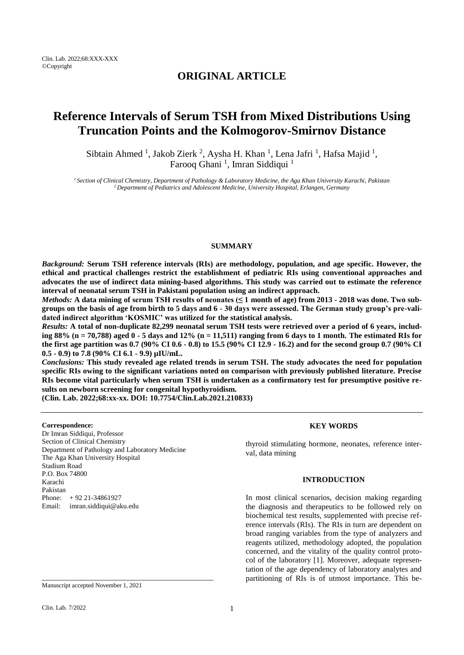# **ORIGINAL ARTICLE**

# **Reference Intervals of Serum TSH from Mixed Distributions Using Truncation Points and the Kolmogorov-Smirnov Distance**

Sibtain Ahmed<sup>1</sup>, Jakob Zierk<sup>2</sup>, Aysha H. Khan<sup>1</sup>, Lena Jafri<sup>1</sup>, Hafsa Majid<sup>1</sup>, Farooq Ghani<sup>1</sup>, Imran Siddiqui<sup>1</sup>

*<sup>1</sup>Section of Clinical Chemistry, Department of Pathology & Laboratory Medicine, the Aga Khan University Karachi, Pakistan <sup>2</sup>Department of Pediatrics and Adolescent Medicine, University Hospital, Erlangen, Germany*

### **SUMMARY**

*Background:* **Serum TSH reference intervals (RIs) are methodology, population, and age specific. However, the ethical and practical challenges restrict the establishment of pediatric RIs using conventional approaches and advocates the use of indirect data mining-based algorithms. This study was carried out to estimate the reference interval of neonatal serum TSH in Pakistani population using an indirect approach.**

*Methods:* **A data mining of serum TSH results of neonates (≤ 1 month of age) from 2013 - 2018 was done. Two subgroups on the basis of age from birth to 5 days and 6 - 30 days were assessed. The German study group's pre-validated indirect algorithm 'KOSMIC' was utilized for the statistical analysis.**

*Results:* **A total of non-duplicate 82,299 neonatal serum TSH tests were retrieved over a period of 6 years, including 88% (n = 70,788) aged 0 - 5 days and 12% (n = 11,511) ranging from 6 days to 1 month. The estimated RIs for the first age partition was 0.7 (90% CI 0.6 - 0.8) to 15.5 (90% CI 12.9 - 16.2) and for the second group 0.7 (90% CI 0.5 - 0.9) to 7.8 (90% CI 6.1 - 9.9) µIU/mL.**

*Conclusions:* **This study revealed age related trends in serum TSH. The study advocates the need for population specific RIs owing to the significant variations noted on comparison with previously published literature. Precise RIs become vital particularly when serum TSH is undertaken as a confirmatory test for presumptive positive results on newborn screening for congenital hypothyroidism.**

**(Clin. Lab. 2022;68:xx-xx. DOI: 10.7754/Clin.Lab.2021.210833)**

#### **Correspondence:**

Dr Imran Siddiqui, Professor Section of Clinical Chemistry Department of Pathology and Laboratory Medicine The Aga Khan University Hospital Stadium Road P.O. Box 74800 Karachi Pakistan Phone: + 92 21-34861927 Email: [imran.siddiqui@aku.edu](mailto:imran.siddiqui@aku.edu)

\_\_\_\_\_\_\_\_\_\_\_\_\_\_\_\_\_\_\_\_\_\_\_\_\_\_\_\_\_\_\_\_\_\_\_\_\_\_\_\_\_\_\_\_

#### **KEY WORDS**

thyroid stimulating hormone, neonates, reference interval, data mining

# **INTRODUCTION**

In most clinical scenarios, decision making regarding the diagnosis and therapeutics to be followed rely on biochemical test results, supplemented with precise reference intervals (RIs). The RIs in turn are dependent on broad ranging variables from the type of analyzers and reagents utilized, methodology adopted, the population concerned, and the vitality of the quality control protocol of the laboratory [1]. Moreover, adequate representation of the age dependency of laboratory analytes and partitioning of RIs is of utmost importance. This be-

Manuscript accepted November 1, 2021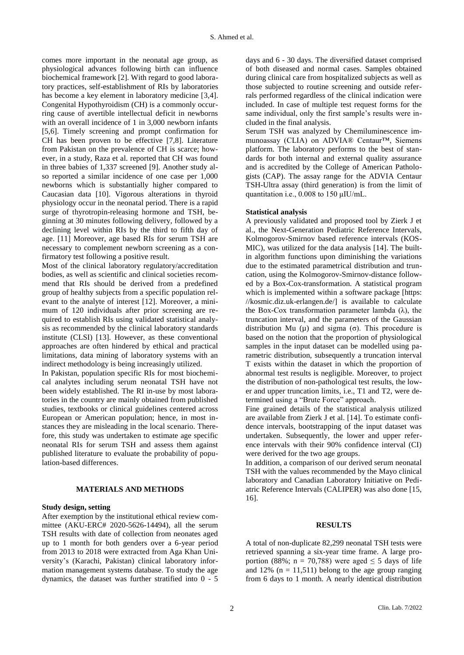comes more important in the neonatal age group, as physiological advances following birth can influence biochemical framework [2]. With regard to good laboratory practices, self-establishment of RIs by laboratories has become a key element in laboratory medicine [\[3,](http://bmcresnotes.biomedcentral.com/articles/10.1186/1756-0500-5-493#CR3)[4\]](http://bmcresnotes.biomedcentral.com/articles/10.1186/1756-0500-5-493#CR4). Congenital Hypothyroidism (CH) is a commonly occurring cause of avertible intellectual deficit in newborns with an overall incidence of 1 in 3,000 newborn infants [\[5,](http://bmcendocrdisord.biomedcentral.com/articles/10.1186/s12902-016-0107-9#CR9)6]. Timely screening and prompt confirmation for CH has been proven to be effective [7,8]. Literature from Pakistan on the prevalence of CH is scarce; however, in a study, Raza et al. reported that CH was found in three babies of 1,337 screened [9]. Another study also reported a similar incidence of one case per 1,000 newborns which is substantially higher compared to Caucasian data [10]. Vigorous alterations in thyroid physiology occur in the neonatal period. There is a rapid surge of thyrotropin-releasing hormone and TSH, beginning at 30 minutes following delivery, followed by a declining level within RIs by the third to fifth day of age. [11] Moreover, age based RIs for serum TSH are necessary to complement newborn screening as a confirmatory test following a positive result.

Most of the clinical laboratory regulatory/accreditation bodies, as well as scientific and clinical societies recommend that RIs should be derived from a predefined group of healthy subjects from a specific population relevant to the analyte of interest [\[12](http://bmcendocrdisord.biomedcentral.com/articles/10.1186/s12902-016-0107-9#CR18)]. Moreover, a minimum of 120 individuals after prior screening are required to establish RIs using validated statistical analysis as recommended by the clinical laboratory standards institute (CLSI) [\[13](http://bmcendocrdisord.biomedcentral.com/articles/10.1186/s12902-016-0107-9#CR19)]. However, as these conventional approaches are often hindered by ethical and practical limitations, data mining of laboratory systems with an indirect methodology is being increasingly utilized.

In Pakistan, population specific RIs for most biochemical analytes including serum neonatal TSH have not been widely established. The RI in-use by most laboratories in the country are mainly obtained from published studies, textbooks or clinical guidelines centered across European or American population; hence, in most instances they are misleading in the local scenario. Therefore, this study was undertaken to estimate age specific neonatal RIs for serum TSH and assess them against published literature to evaluate the probability of population-based differences.

# **MATERIALS AND METHODS**

#### **Study design, setting**

After exemption by the institutional ethical review committee (AKU-ERC# 2020-5626-14494), all the serum TSH results with date of collection from neonates aged up to 1 month for both genders over a 6-year period from 2013 to 2018 were extracted from Aga Khan University's (Karachi, Pakistan) clinical laboratory information management systems database. To study the age dynamics, the dataset was further stratified into 0 - 5

days and 6 - 30 days. The diversified dataset comprised of both diseased and normal cases. Samples obtained during clinical care from hospitalized subjects as well as those subjected to routine screening and outside referrals performed regardless of the clinical indication were included. In case of multiple test request forms for the same individual, only the first sample's results were included in the final analysis.

Serum TSH was analyzed by Chemiluminescence immunoassay (CLIA) on ADVIA® Centaur™, Siemens platform. The laboratory performs to the best of standards for both internal and external quality assurance and is accredited by the College of American Pathologists (CAP). The assay range for the ADVIA Centaur TSH-Ultra assay (third generation) is from the limit of quantitation i.e., 0.008 to 150 μIU/mL.

#### **Statistical analysis**

A previously validated and proposed tool by Zierk J et al., the Next-Generation Pediatric Reference Intervals, Kolmogorov-Smirnov based reference intervals (KOS-MIC), was utilized for the data analysis [14]. The builtin algorithm functions upon diminishing the variations due to the estimated parametrical distribution and truncation, using the Kolmogorov-Smirnov-distance followed by a Box-Cox-transformation. A statistical program which is implemented within a software package [https: //kosmic.diz.uk-erlangen.de/] is available to calculate the Box-Cox transformation parameter lambda  $(\lambda)$ , the truncation interval, and the parameters of the Gaussian distribution Mu (μ) and sigma (σ). This procedure is based on the notion that the proportion of physiological samples in the input dataset can be modelled using parametric distribution, subsequently a truncation interval T exists within the dataset in which the proportion of abnormal test results is negligible. Moreover, to project the distribution of non-pathological test results, the lower and upper truncation limits, i.e., T1 and T2, were determined using a "Brute Force" approach.

Fine grained details of the statistical analysis utilized are available from Zierk J et al. [14]. To estimate confidence intervals, bootstrapping of the input dataset was undertaken. Subsequently, the lower and upper reference intervals with their 90% confidence interval (CI) were derived for the two age groups.

In addition, a comparison of our derived serum neonatal TSH with the values recommended by the Mayo clinical laboratory and Canadian Laboratory Initiative on Pediatric Reference Intervals (CALIPER) was also done [15, 16].

#### **RESULTS**

A total of non-duplicate 82,299 neonatal TSH tests were retrieved spanning a six-year time frame. A large proportion (88%; n = 70,788) were aged  $\leq$  5 days of life and 12% ( $n = 11,511$ ) belong to the age group ranging from 6 days to 1 month. A nearly identical distribution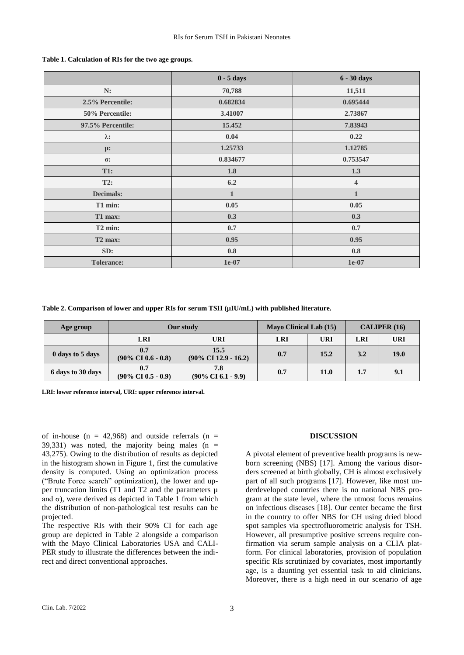|                     | $0 - 5$ days   | 6 - 30 days             |  |  |
|---------------------|----------------|-------------------------|--|--|
| N:                  | 70,788         | 11,511                  |  |  |
| 2.5% Percentile:    | 0.682834       | 0.695444                |  |  |
| 50% Percentile:     | 3.41007        | 2.73867                 |  |  |
| 97.5% Percentile:   | 15.452         | 7.83943                 |  |  |
| $\lambda$ :         | 0.04           | 0.22                    |  |  |
| $\mu$ :             | 1.25733        | 1.12785                 |  |  |
| $\sigma$ :          | 0.834677       | 0.753547                |  |  |
| <b>T1:</b>          | 1.8            | 1.3                     |  |  |
| T2:                 | 6.2            | $\overline{\mathbf{4}}$ |  |  |
| <b>Decimals:</b>    | $\mathbf{1}$   | $\mathbf{1}$            |  |  |
| T1 min:             | 0.05           | 0.05                    |  |  |
| T1 max:             | 0.3            | 0.3                     |  |  |
| T <sub>2</sub> min: | 0.7            | 0.7                     |  |  |
| T <sub>2</sub> max: | 0.95           | 0.95                    |  |  |
| SD:                 | $\mathbf{0.8}$ | 0.8                     |  |  |
| <b>Tolerance:</b>   | $1e-07$        | 1e-07                   |  |  |

#### **Table 1. Calculation of RIs for the two age groups.**

**Table 2. Comparison of lower and upper RIs for serum TSH (µIU/mL) with published literature.**

| Age group         | Our study                             |                                          | <b>Mayo Clinical Lab (15)</b> |      | CALIPER $(16)$ |             |
|-------------------|---------------------------------------|------------------------------------------|-------------------------------|------|----------------|-------------|
|                   | <b>LRI</b>                            | URI                                      | LRI                           | URI  | <b>LRI</b>     | <b>URI</b>  |
| 0 days to 5 days  | 0.7<br>$(90\% \text{ CI } 0.6 - 0.8)$ | 15.5<br>$(90\% \text{ CI } 12.9 - 16.2)$ | 0.7                           | 15.2 | 3.2            | <b>19.0</b> |
| 6 days to 30 days | 0.7<br>$(90\% \text{ CI } 0.5 - 0.9)$ | 7.8<br>$(90\% \text{ CI } 6.1 - 9.9)$    | 0.7                           | 11.0 | 1.7            | 9.1         |

**LRI: lower reference interval, URI: upper reference interval.**

of in-house (n = 42,968) and outside referrals (n =  $39,331$ ) was noted, the majority being males (n = 43,275). Owing to the distribution of results as depicted in the histogram shown in Figure 1, first the cumulative density is computed. Using an optimization process ("Brute Force search" optimization), the lower and upper truncation limits (T1 and T2 and the parameters  $\mu$ and σ), were derived as depicted in Table 1 from which the distribution of non-pathological test results can be projected.

The respective RIs with their 90% CI for each age group are depicted in Table 2 alongside a comparison with the Mayo Clinical Laboratories USA and CALI-PER study to illustrate the differences between the indirect and direct conventional approaches.

#### **DISCUSSION**

A pivotal element of preventive health programs is newborn screening (NBS) [17]. Among the various disorders screened at birth globally, CH is almost exclusively part of all such programs [17]. However, like most underdeveloped countries there is no national NBS program at the state level, where the utmost focus remains on infectious diseases [18]. Our center became the first in the country to offer NBS for CH using dried blood spot samples via spectrofluorometric analysis for TSH. However, all presumptive positive screens require confirmation via serum sample analysis on a CLIA platform. For clinical laboratories, provision of population specific RIs scrutinized by covariates, most importantly age, is a daunting yet essential task to aid clinicians. Moreover, there is a high need in our scenario of age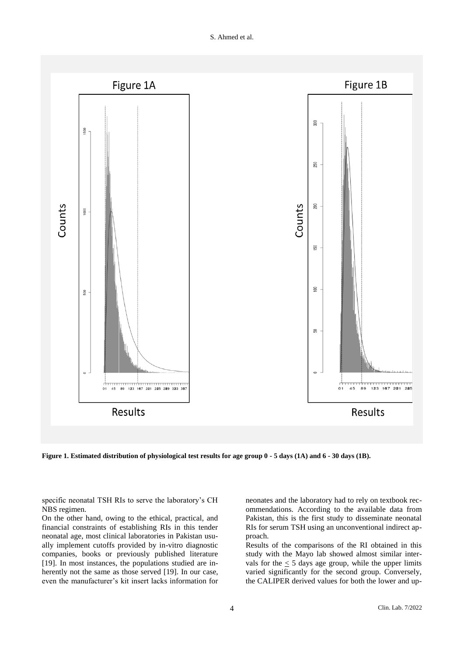

**Figure 1. Estimated distribution of physiological test results for age group 0 - 5 days (1A) and 6 - 30 days (1B).**

specific neonatal TSH RIs to serve the laboratory's CH NBS regimen.

On the other hand, owing to the ethical, practical, and financial constraints of establishing RIs in this tender neonatal age, most clinical laboratories in Pakistan usually implement cutoffs provided by in-vitro diagnostic companies, books or previously published literature [19]. In most instances, the populations studied are inherently not the same as those served [19]. In our case, even the manufacturer's kit insert lacks information for neonates and the laboratory had to rely on textbook recommendations. According to the available data from Pakistan, this is the first study to disseminate neonatal RIs for serum TSH using an unconventional indirect approach.

Results of the comparisons of the RI obtained in this study with the Mayo lab showed almost similar intervals for the  $\leq 5$  days age group, while the upper limits varied significantly for the second group. Conversely, the CALIPER derived values for both the lower and up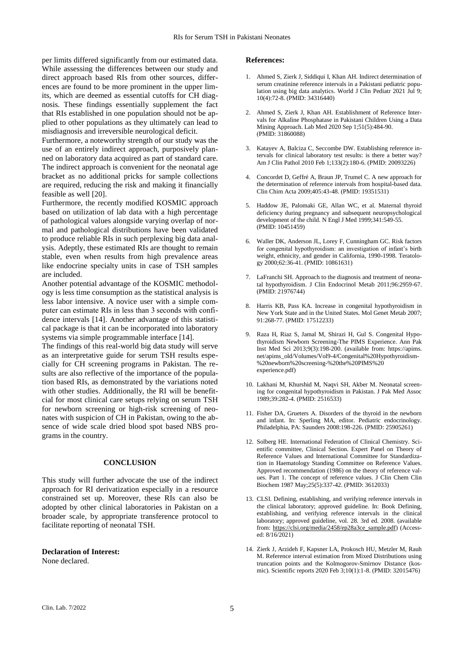per limits differed significantly from our estimated data. While assessing the differences between our study and direct approach based RIs from other sources, differences are found to be more prominent in the upper limits, which are deemed as essential cutoffs for CH diagnosis. These findings essentially supplement the fact that RIs established in one population should not be applied to other populations as they ultimately can lead to misdiagnosis and irreversible neurological deficit.

Furthermore, a noteworthy strength of our study was the use of an entirely indirect approach, purposively planned on laboratory data acquired as part of standard care. The indirect approach is convenient for the neonatal age bracket as no additional pricks for sample collections are required, reducing the risk and making it financially feasible as well [20].

Furthermore, the recently modified KOSMIC approach based on utilization of lab data with a high percentage of pathological values alongside varying overlap of normal and pathological distributions have been validated to produce reliable RIs in such perplexing big data analysis. Adeptly, these estimated RIs are thought to remain stable, even when results from high prevalence areas like endocrine specialty units in case of TSH samples are included.

Another potential advantage of the KOSMIC methodology is less time consumption as the statistical analysis is less labor intensive. A novice user with a simple computer can estimate RIs in less than 3 seconds with confidence intervals [14]. Another advantage of this statistical package is that it can be incorporated into laboratory systems via simple programmable interface [14].

The findings of this real-world big data study will serve as an interpretative guide for serum TSH results especially for CH screening programs in Pakistan. The results are also reflective of the importance of the population based RIs, as demonstrated by the variations noted with other studies. Additionally, the RI will be benefitcial for most clinical care setups relying on serum TSH for newborn screening or high-risk screening of neonates with suspicion of CH in Pakistan, owing to the absence of wide scale dried blood spot based NBS programs in the country.

#### **CONCLUSION**

This study will further advocate the use of the indirect approach for RI derivatization especially in a resource constrained set up. Moreover, these RIs can also be adopted by other clinical laboratories in Pakistan on a broader scale, by appropriate transference protocol to facilitate reporting of neonatal TSH.

#### **Declaration of Interest:**

None declared.

#### **References:**

- 1. Ahmed S, Zierk J, Siddiqui I, Khan AH. Indirect determination of serum creatinine reference intervals in a Pakistani pediatric population using big data analytics. World J Clin Pediatr 2021 Jul 9; 10(4):72-8. (PMID: 34316440)
- 2. Ahmed S, Zierk J, Khan AH. Establishment of Reference Intervals for Alkaline Phosphatase in Pakistani Children Using a Data Mining Approach. Lab Med 2020 Sep 1;51(5):484-90. (PMID: 31860088)
- 3. Katayev A, Balciza C, Seccombe DW. Establishing reference intervals for clinical laboratory test results: is there a better way? Am J Clin Pathol 2010 Feb 1;133(2):180-6. (PMID: 20093226)
- 4. Concordet D, Geffré A, Braun JP, Trumel C. A new approach for the determination of reference intervals from hospital-based data. Clin Chim Acta 2009;405:43-48. (PMID: 19351531)
- 5. Haddow JE, Palomaki GE, Allan WC, et al. Maternal thyroid deficiency during pregnancy and subsequent neuropsychological development of the child. N Engl J Med 1999;341:549-55. (PMID: 10451459)
- 6. Waller DK, Anderson JL, Lorey F, Cunningham GC. Risk factors for congenital hypothyroidism: an investigation of infant's birth weight, ethnicity, and gender in California, 1990-1998. Teratology 2000;62:36-41. (PMID: 10861631)
- 7. LaFranchi SH. Approach to the diagnosis and treatment of neonatal hypothyroidism. J Clin Endocrinol Metab 2011;96:2959-67. (PMID: 21976744)
- 8. Harris KB, Pass KA. Increase in congenital hypothyroidism in New York State and in the United States. Mol Genet Metab 2007; 91:268-77. (PMID: 17512233)
- 9. Raza H, Riaz S, Jamal M, Shirazi H, Gul S. Congenital Hypothyroidism Newborn Screening-The PIMS Experience. Ann Pak Inst Med Sci 2013;9(3):198-200. (available from: https://apims. net/apims\_old/Volumes/Vol9-4/Congenital%20Hypothyroidism- %20newborn%20screening-%20the%20PIMS%20 experience.pdf)
- 10. Lakhani M, Khurshid M, Naqvi SH, Akber M. Neonatal screening for congenital hypothyroidism in Pakistan. J Pak Med Assoc 1989;39:282-4. (PMID: 2516533)
- 11. Fisher DA, Grueters A. Disorders of the thyroid in the newborn and infant. In: Sperling MA, editor. Pediatric endocrinology. Philadelphia, PA: Saunders 2008:198-226. (PMID: 25905261)
- 12. Solberg HE. International Federation of Clinical Chemistry. Scientific committee, Clinical Section. Expert Panel on Theory of Reference Values and International Committee for Standardization in Haematology Standing Committee on Reference Values. Approved recommendation (1986) on the theory of reference values. Part 1. The concept of reference values. J Clin Chem Clin Biochem 1987 May;25(5):337-42. (PMID: 3612033)
- 13. CLSI. Defining, establishing, and verifying reference intervals in the clinical laboratory; approved guideline. In: Book Defining, establishing, and verifying reference intervals in the clinical laboratory; approved guideline, vol. 28. 3rd ed. 2008. (available from: [https://clsi.org/media/2458/ep28a3ce\\_sample.pdf\)](https://clsi.org/media/2458/ep28a3ce_sample.pdf) (Accessed: 8/16/2021)
- 14. Zierk J, Arzideh F, Kapsner LA, Prokosch HU, Metzler M, Rauh M. Reference interval estimation from Mixed Distributions using truncation points and the Kolmogorov-Smirnov Distance (kosmic). Scientific reports 2020 Feb 3;10(1):1-8. (PMID: 32015476)